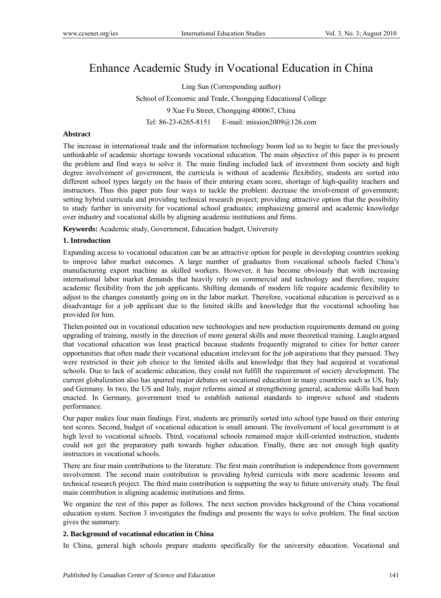# Enhance Academic Study in Vocational Education in China

Ling Sun (Corresponding author) School of Economic and Trade, Chongqing Educational College 9 Xue Fu Street, Chongqing 400067, China Tel: 86-23-6265-8151 E-mail: mission2009@126.com

# **Abstract**

The increase in international trade and the information technology boom led us to begin to face the previously unthinkable of academic shortage towards vocational education. The main objective of this paper is to present the problem and find ways to solve it. The main finding included lack of investment from society and high degree involvement of government, the curricula is without of academic flexibility, students are sorted into different school types largely on the basis of their entering exam score, shortage of high-quality teachers and instructors. Thus this paper puts four ways to tackle the problem: decrease the involvement of government; setting hybrid curricula and providing technical research project; providing attractive option that the possibility to study further in university for vocational school graduates; emphasizing general and academic knowledge over industry and vocational skills by aligning academic institutions and firms.

**Keywords:** Academic study, Government, Education budget, University

## **1. Introduction**

Expanding access to vocational education can be an attractive option for people in developing countries seeking to improve labor market outcomes. A large number of graduates from vocational schools fueled China's manufacturing export machine as skilled workers. However, it has become obviously that with increasing international labor market demands that heavily rely on commercial and technology and therefore, require academic flexibility from the job applicants. Shifting demands of modern life require academic flexibility to adjust to the changes constantly going on in the labor market. Therefore, vocational education is perceived as a disadvantage for a job applicant due to the limited skills and knowledge that the vocational schooling has provided for him.

Thelen pointed out in vocational education new technologies and new production requirements demand on going upgrading of training, mostly in the direction of more general skills and more theoretical training. Lauglo argued that vocational education was least practical because students frequently migrated to cities for better career opportunities that often made their vocational education irrelevant for the job aspirations that they pursued. They were restricted in their job choice to the limited skills and knowledge that they had acquired at vocational schools. Due to lack of academic education, they could not fulfill the requirement of society development. The current globalization also has spurred major debates on vocational education in many countries such as US, Italy and Germany. In two, the US and Italy, major reforms aimed at strengthening general, academic skills had been enacted. In Germany, government tried to establish national standards to improve school and students performance.

Our paper makes four main findings. First, students are primarily sorted into school type based on their entering test scores. Second, budget of vocational education is small amount. The involvement of local government is at high level to vocational schools. Third, vocational schools remained major skill-oriented instruction, students could not get the preparatory path towards higher education. Finally, there are not enough high quality instructors in vocational schools.

There are four main contributions to the literature. The first main contribution is independence from government involvement. The second main contribution is providing hybrid curricula with more academic lessons and technical research project. The third main contribution is supporting the way to future university study. The final main contribution is aligning academic institutions and firms.

We organize the rest of this paper as follows. The next section provides background of the China vocational education system. Section 3 investigates the findings and presents the ways to solve problem. The final section gives the summary.

## **2. Background of vocational education in China**

In China, general high schools prepare students specifically for the university education. Vocational and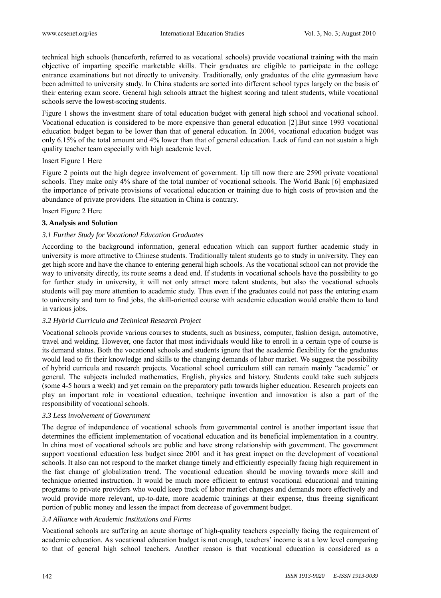technical high schools (henceforth, referred to as vocational schools) provide vocational training with the main objective of imparting specific marketable skills. Their graduates are eligible to participate in the college entrance examinations but not directly to university. Traditionally, only graduates of the elite gymnasium have been admitted to university study. In China students are sorted into different school types largely on the basis of their entering exam score. General high schools attract the highest scoring and talent students, while vocational schools serve the lowest-scoring students.

Figure 1 shows the investment share of total education budget with general high school and vocational school. Vocational education is considered to be more expensive than general education [2].But since 1993 vocational education budget began to be lower than that of general education. In 2004, vocational education budget was only 6.15% of the total amount and 4% lower than that of general education. Lack of fund can not sustain a high quality teacher team especially with high academic level.

## Insert Figure 1 Here

Figure 2 points out the high degree involvement of government. Up till now there are 2590 private vocational schools. They make only 4% share of the total number of vocational schools. The World Bank [6] emphasized the importance of private provisions of vocational education or training due to high costs of provision and the abundance of private providers. The situation in China is contrary.

## Insert Figure 2 Here

## **3. Analysis and Solution**

## *3.1 Further Study for Vocational Education Graduates*

According to the background information, general education which can support further academic study in university is more attractive to Chinese students. Traditionally talent students go to study in university. They can get high score and have the chance to entering general high schools. As the vocational school can not provide the way to university directly, its route seems a dead end. If students in vocational schools have the possibility to go for further study in university, it will not only attract more talent students, but also the vocational schools students will pay more attention to academic study. Thus even if the graduates could not pass the entering exam to university and turn to find jobs, the skill-oriented course with academic education would enable them to land in various jobs.

## *3.2 Hybrid Curricula and Technical Research Project*

Vocational schools provide various courses to students, such as business, computer, fashion design, automotive, travel and welding. However, one factor that most individuals would like to enroll in a certain type of course is its demand status. Both the vocational schools and students ignore that the academic flexibility for the graduates would lead to fit their knowledge and skills to the changing demands of labor market. We suggest the possibility of hybrid curricula and research projects. Vocational school curriculum still can remain mainly "academic" or general. The subjects included mathematics, English, physics and history. Students could take such subjects (some 4-5 hours a week) and yet remain on the preparatory path towards higher education. Research projects can play an important role in vocational education, technique invention and innovation is also a part of the responsibility of vocational schools.

#### *3.3 Less involvement of Government*

The degree of independence of vocational schools from governmental control is another important issue that determines the efficient implementation of vocational education and its beneficial implementation in a country. In china most of vocational schools are public and have strong relationship with government. The government support vocational education less budget since 2001 and it has great impact on the development of vocational schools. It also can not respond to the market change timely and efficiently especially facing high requirement in the fast change of globalization trend. The vocational education should be moving towards more skill and technique oriented instruction. It would be much more efficient to entrust vocational educational and training programs to private providers who would keep track of labor market changes and demands more effectively and would provide more relevant, up-to-date, more academic trainings at their expense, thus freeing significant portion of public money and lessen the impact from decrease of government budget.

## *3.4 Alliance with Academic Institutions and Firms*

Vocational schools are suffering an acute shortage of high-quality teachers especially facing the requirement of academic education. As vocational education budget is not enough, teachers' income is at a low level comparing to that of general high school teachers. Another reason is that vocational education is considered as a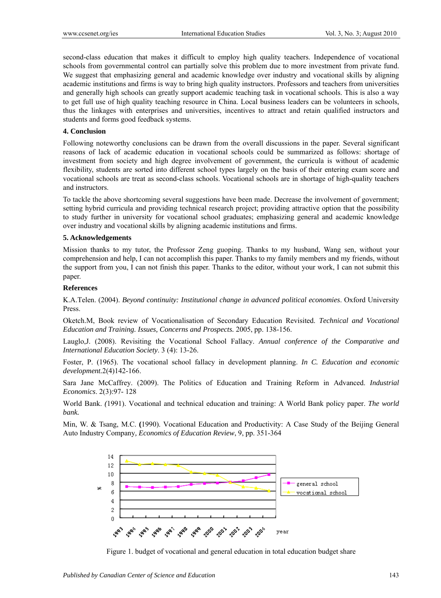second-class education that makes it difficult to employ high quality teachers. Independence of vocational schools from governmental control can partially solve this problem due to more investment from private fund. We suggest that emphasizing general and academic knowledge over industry and vocational skills by aligning academic institutions and firms is way to bring high quality instructors. Professors and teachers from universities and generally high schools can greatly support academic teaching task in vocational schools. This is also a way to get full use of high quality teaching resource in China. Local business leaders can be volunteers in schools, thus the linkages with enterprises and universities, incentives to attract and retain qualified instructors and students and forms good feedback systems.

## **4. Conclusion**

Following noteworthy conclusions can be drawn from the overall discussions in the paper. Several significant reasons of lack of academic education in vocational schools could be summarized as follows: shortage of investment from society and high degree involvement of government, the curricula is without of academic flexibility, students are sorted into different school types largely on the basis of their entering exam score and vocational schools are treat as second-class schools. Vocational schools are in shortage of high-quality teachers and instructors.

To tackle the above shortcoming several suggestions have been made. Decrease the involvement of government; setting hybrid curricula and providing technical research project; providing attractive option that the possibility to study further in university for vocational school graduates; emphasizing general and academic knowledge over industry and vocational skills by aligning academic institutions and firms.

## **5. Acknowledgements**

Mission thanks to my tutor, the Professor Zeng guoping. Thanks to my husband, Wang sen, without your comprehension and help, I can not accomplish this paper. Thanks to my family members and my friends, without the support from you, I can not finish this paper. Thanks to the editor, without your work, I can not submit this paper.

#### **References**

K.A.Telen. (2004). *Beyond continuity: Institutional change in advanced political economies*. Oxford University Press.

Oketch.M, Book review of Vocationalisation of Secondary Education Revisited. *Technical and Vocational Education and Training. Issues, Concerns and Prospects.* 2005, pp. 138-156.

Lauglo,J. (2008). Revisiting the Vocational School Fallacy. *Annual conference of the Comparative and International Education Society*. 3 (4): 13-26.

Foster, P. (1965). The vocational school fallacy in development planning. *In C. Education and economic development.*2(4)142-166.

Sara Jane McCaffrey. (2009). The Politics of Education and Training Reform in Advanced. *Industrial Economics*. 2(3):97- 128

World Bank. *(*1991). Vocational and technical education and training: A World Bank policy paper. *The world bank.*

Min, W. & Tsang, M.C. **(**1990). Vocational Education and Productivity: A Case Study of the Beijing General Auto Industry Company*, Economics of Education Review*, 9, pp. 351-364



Figure 1. budget of vocational and general education in total education budget share